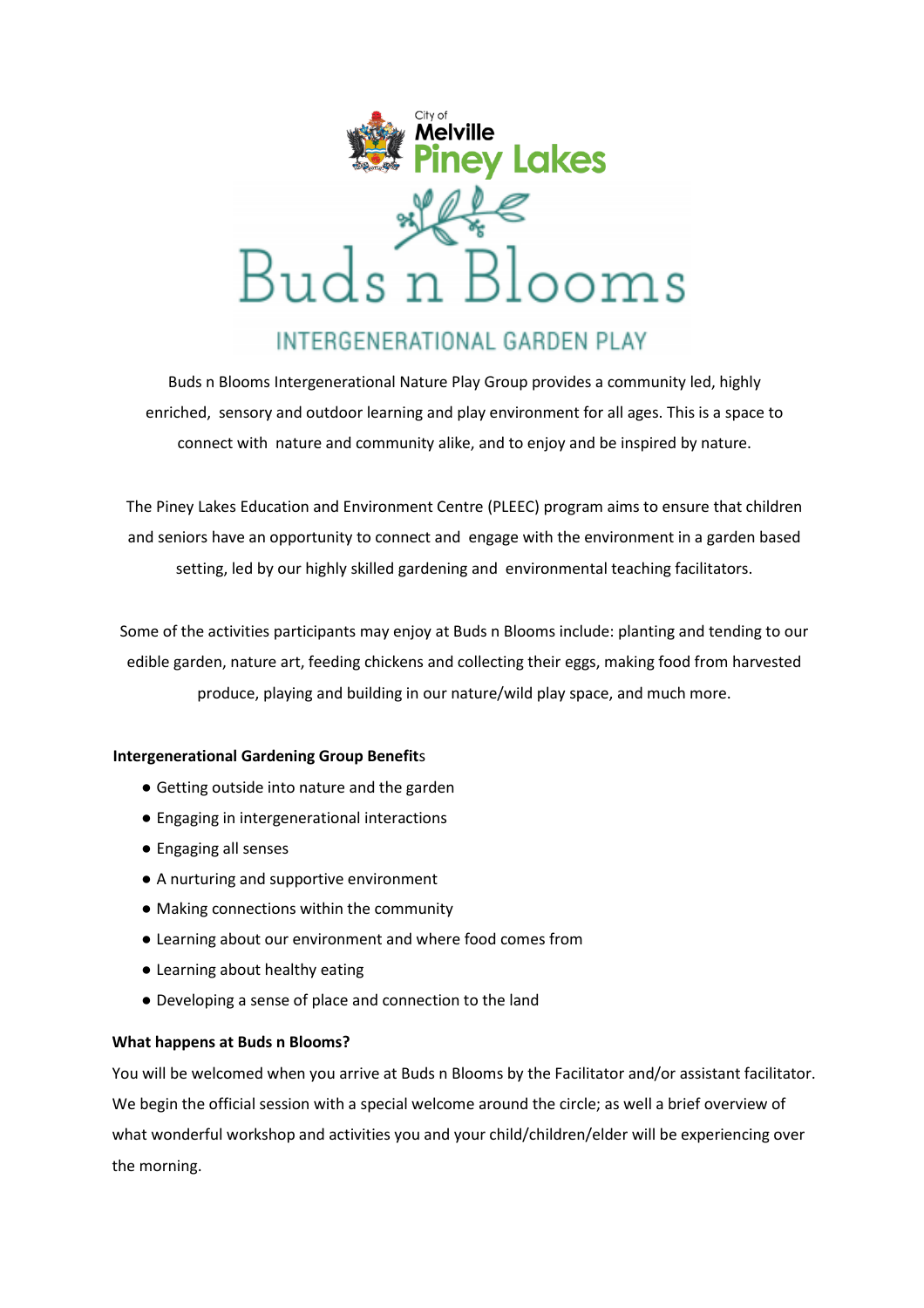

Buds n Blooms Intergenerational Nature Play Group provides a community led, highly enriched, sensory and outdoor learning and play environment for all ages. This is a space to connect with nature and community alike, and to enjoy and be inspired by nature.

The Piney Lakes Education and Environment Centre (PLEEC) program aims to ensure that children and seniors have an opportunity to connect and engage with the environment in a garden based setting, led by our highly skilled gardening and environmental teaching facilitators.

Some of the activities participants may enjoy at Buds n Blooms include: planting and tending to our edible garden, nature art, feeding chickens and collecting their eggs, making food from harvested produce, playing and building in our nature/wild play space, and much more.

## **Intergenerational Gardening Group Benefit**s

- Getting outside into nature and the garden
- Engaging in intergenerational interactions
- Engaging all senses
- A nurturing and supportive environment
- Making connections within the community
- Learning about our environment and where food comes from
- Learning about healthy eating
- Developing a sense of place and connection to the land

### **What happens at Buds n Blooms?**

You will be welcomed when you arrive at Buds n Blooms by the Facilitator and/or assistant facilitator. We begin the official session with a special welcome around the circle; as well a brief overview of what wonderful workshop and activities you and your child/children/elder will be experiencing over the morning.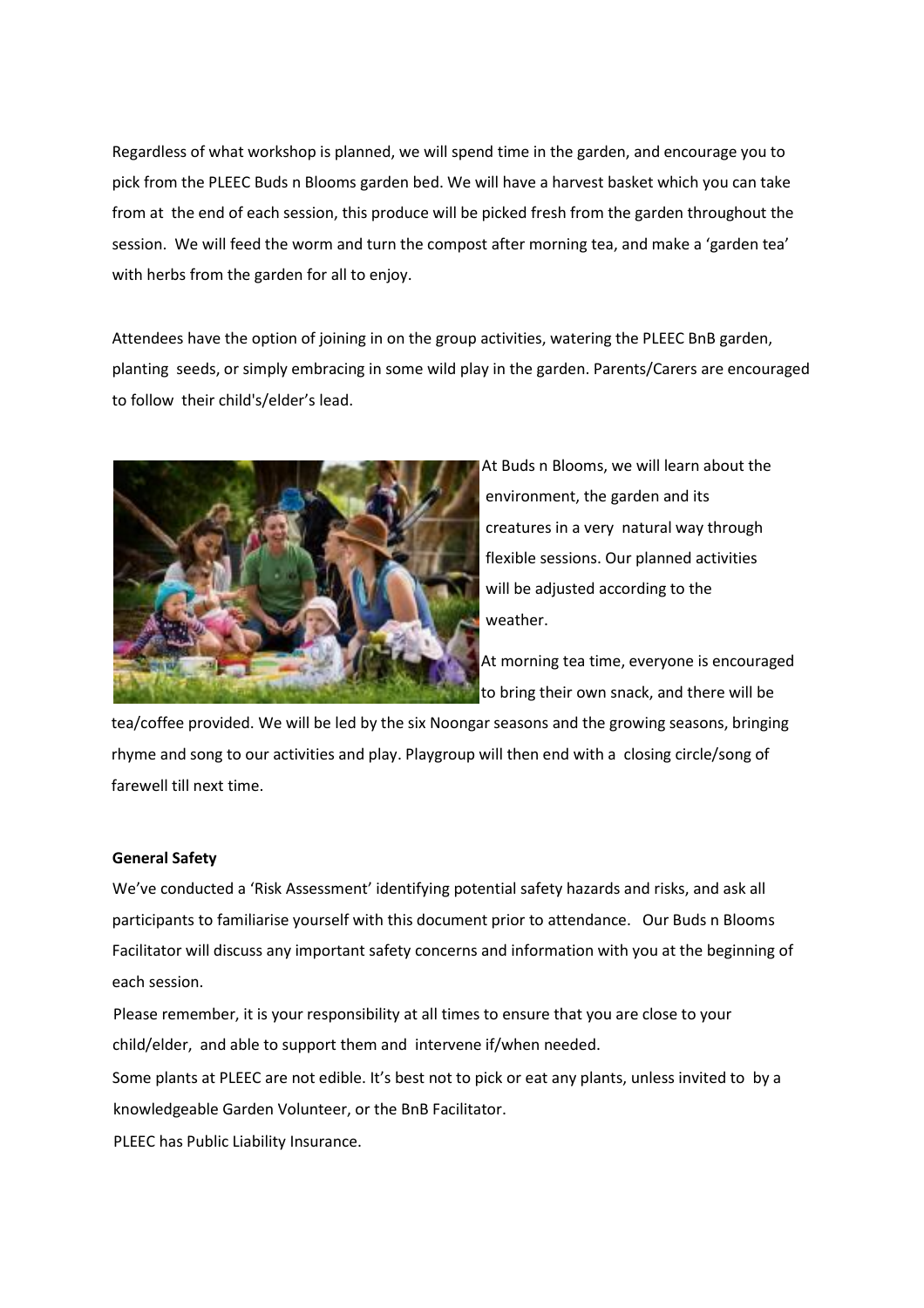Regardless of what workshop is planned, we will spend time in the garden, and encourage you to pick from the PLEEC Buds n Blooms garden bed. We will have a harvest basket which you can take from at the end of each session, this produce will be picked fresh from the garden throughout the session. We will feed the worm and turn the compost after morning tea, and make a 'garden tea' with herbs from the garden for all to enjoy.

Attendees have the option of joining in on the group activities, watering the PLEEC BnB garden, planting seeds, or simply embracing in some wild play in the garden. Parents/Carers are encouraged to follow their child's/elder's lead.



At Buds n Blooms, we will learn about the environment, the garden and its creatures in a very natural way through flexible sessions. Our planned activities will be adjusted according to the weather.

At morning tea time, everyone is encouraged to bring their own snack, and there will be

tea/coffee provided. We will be led by the six Noongar seasons and the growing seasons, bringing rhyme and song to our activities and play. Playgroup will then end with a closing circle/song of farewell till next time.

### **General Safety**

We've conducted a 'Risk Assessment' identifying potential safety hazards and risks, and ask all participants to familiarise yourself with this document prior to attendance. Our Buds n Blooms Facilitator will discuss any important safety concerns and information with you at the beginning of each session.

Please remember, it is your responsibility at all times to ensure that you are close to your child/elder, and able to support them and intervene if/when needed.

Some plants at PLEEC are not edible. It's best not to pick or eat any plants, unless invited to by a knowledgeable Garden Volunteer, or the BnB Facilitator.

PLEEC has Public Liability Insurance.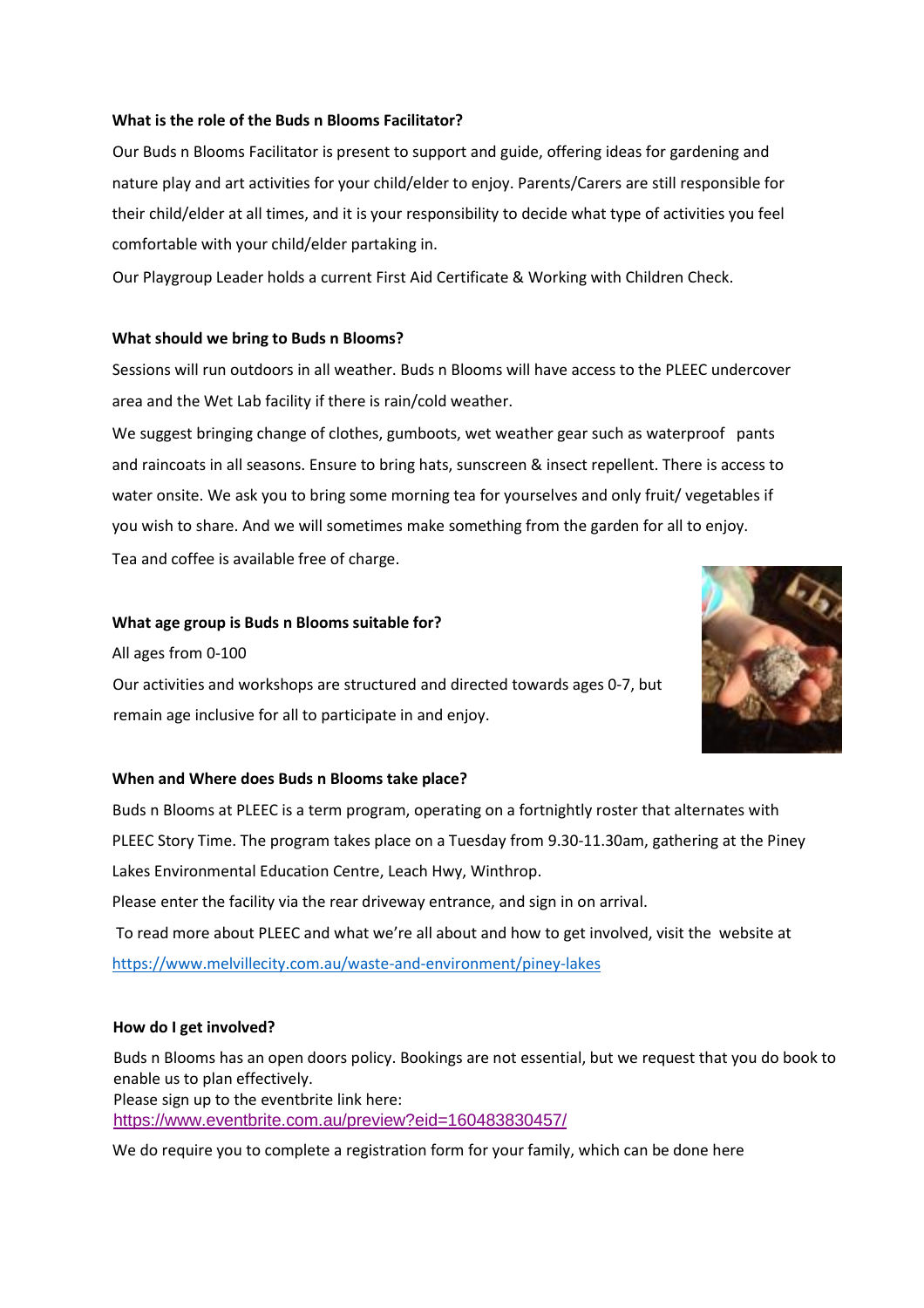## **What is the role of the Buds n Blooms Facilitator?**

Our Buds n Blooms Facilitator is present to support and guide, offering ideas for gardening and nature play and art activities for your child/elder to enjoy. Parents/Carers are still responsible for their child/elder at all times, and it is your responsibility to decide what type of activities you feel comfortable with your child/elder partaking in.

Our Playgroup Leader holds a current First Aid Certificate & Working with Children Check.

### **What should we bring to Buds n Blooms?**

Sessions will run outdoors in all weather. Buds n Blooms will have access to the PLEEC undercover area and the Wet Lab facility if there is rain/cold weather.

We suggest bringing change of clothes, gumboots, wet weather gear such as waterproof pants and raincoats in all seasons. Ensure to bring hats, sunscreen & insect repellent. There is access to water onsite. We ask you to bring some morning tea for yourselves and only fruit/ vegetables if you wish to share. And we will sometimes make something from the garden for all to enjoy. Tea and coffee is available free of charge.

### **What age group is Buds n Blooms suitable for?**

All ages from 0-100

Our activities and workshops are structured and directed towards ages 0-7, but remain age inclusive for all to participate in and enjoy.



### **When and Where does Buds n Blooms take place?**

Buds n Blooms at PLEEC is a term program, operating on a fortnightly roster that alternates with PLEEC Story Time. The program takes place on a Tuesday from 9.30-11.30am, gathering at the Piney Lakes Environmental Education Centre, Leach Hwy, Winthrop. Please enter the facility via the rear driveway entrance, and sign in on arrival. To read more about PLEEC and what we're all about and how to get involved, visit the website at https://www.melvillecity.com.au/waste-and-environment/piney-lakes

### **How do I get involved?**

Buds n Blooms has an open doors policy. Bookings are not essential, but we request that you do book to enable us to plan effectively. Please sign up to the eventbrite link here: <https://www.eventbrite.com.au/preview?eid=160483830457/>

We do require you to complete a registration form for your family, which can be done here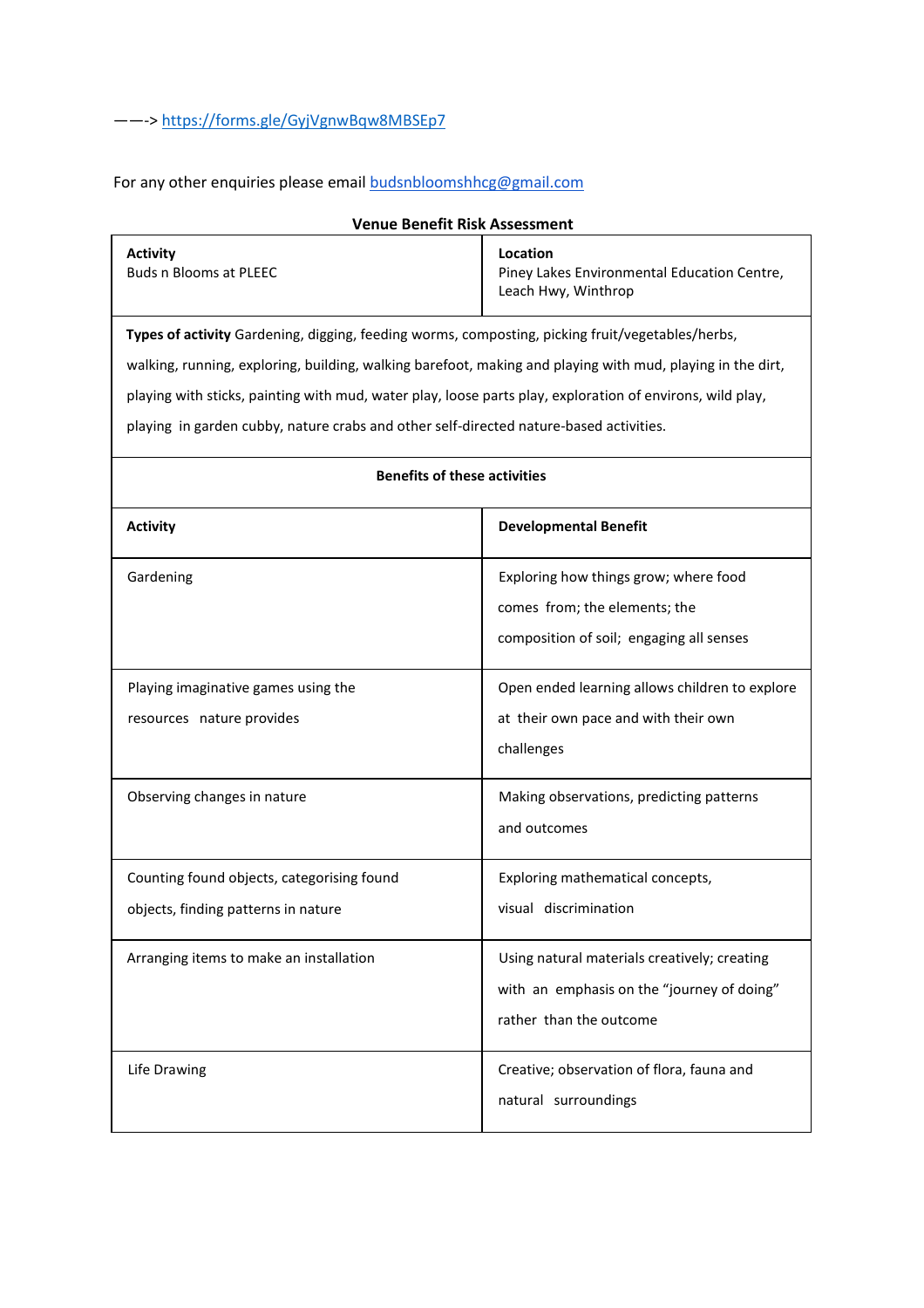For any other enquiries please email **budsnbloomshhcg@gmail.com** 

| venue benent Kisk Assessment                                                                               |                                                                                |
|------------------------------------------------------------------------------------------------------------|--------------------------------------------------------------------------------|
| <b>Activity</b><br><b>Buds n Blooms at PLEEC</b>                                                           | Location<br>Piney Lakes Environmental Education Centre,<br>Leach Hwy, Winthrop |
| Types of activity Gardening, digging, feeding worms, composting, picking fruit/vegetables/herbs,           |                                                                                |
| walking, running, exploring, building, walking barefoot, making and playing with mud, playing in the dirt, |                                                                                |
| playing with sticks, painting with mud, water play, loose parts play, exploration of environs, wild play,  |                                                                                |
| playing in garden cubby, nature crabs and other self-directed nature-based activities.                     |                                                                                |
| <b>Benefits of these activities</b>                                                                        |                                                                                |
| <b>Activity</b>                                                                                            | <b>Developmental Benefit</b>                                                   |
| Gardening                                                                                                  | Exploring how things grow; where food                                          |
|                                                                                                            | comes from; the elements; the                                                  |
|                                                                                                            | composition of soil; engaging all senses                                       |
| Playing imaginative games using the                                                                        | Open ended learning allows children to explore                                 |
| resources nature provides                                                                                  | at their own pace and with their own                                           |
|                                                                                                            | challenges                                                                     |
| Observing changes in nature                                                                                | Making observations, predicting patterns                                       |
|                                                                                                            | and outcomes                                                                   |
| Counting found objects, categorising found                                                                 | Exploring mathematical concepts,                                               |
| objects, finding patterns in nature                                                                        | visual discrimination                                                          |
| Arranging items to make an installation                                                                    | Using natural materials creatively; creating                                   |
|                                                                                                            | with an emphasis on the "journey of doing"                                     |
|                                                                                                            | rather than the outcome                                                        |
| Life Drawing                                                                                               | Creative; observation of flora, fauna and                                      |
|                                                                                                            | natural surroundings                                                           |
|                                                                                                            |                                                                                |

# **Venue Benefit Risk Assessment**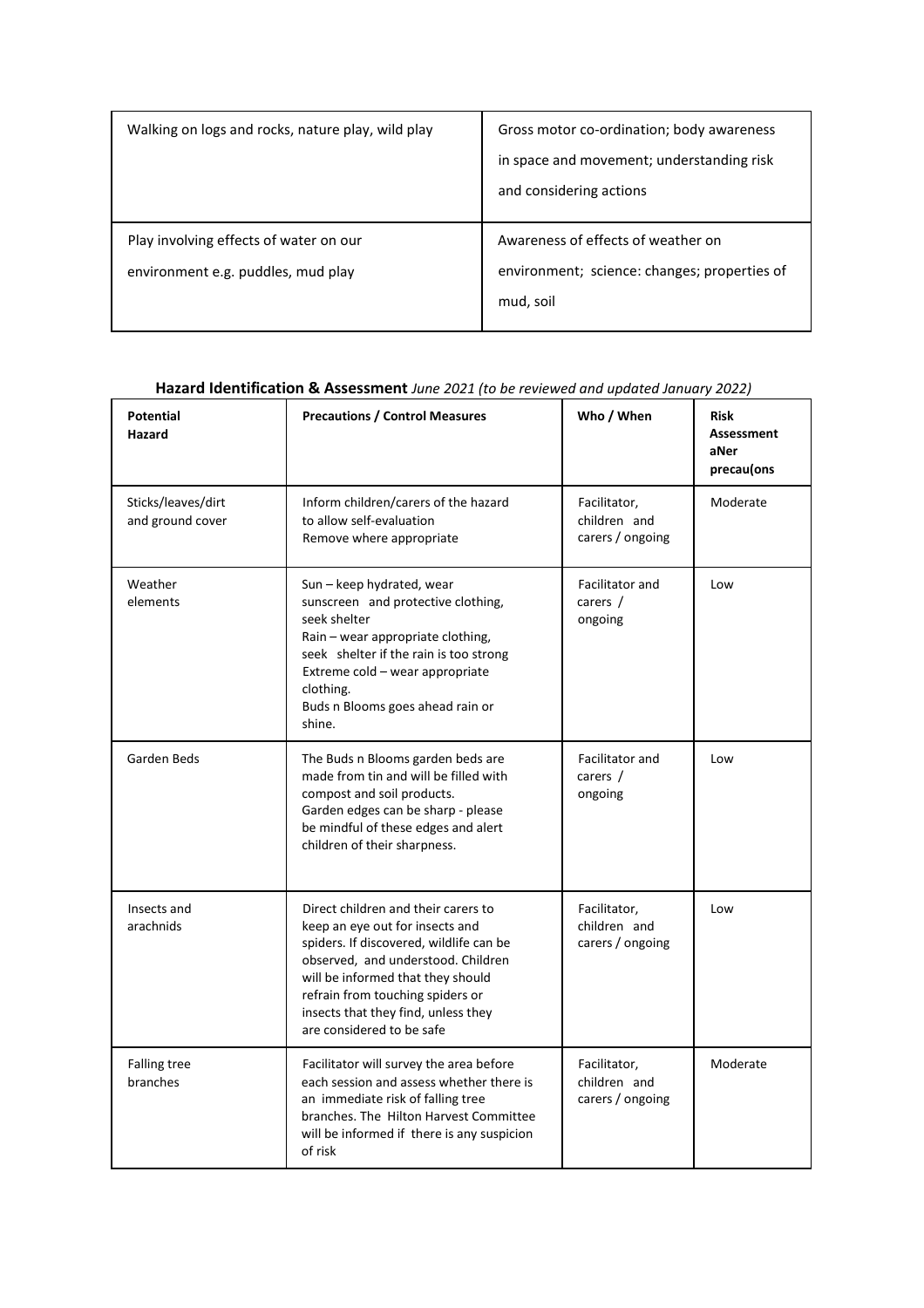| Walking on logs and rocks, nature play, wild play                            | Gross motor co-ordination; body awareness                                                       |
|------------------------------------------------------------------------------|-------------------------------------------------------------------------------------------------|
|                                                                              | in space and movement; understanding risk<br>and considering actions                            |
| Play involving effects of water on our<br>environment e.g. puddles, mud play | Awareness of effects of weather on<br>environment; science: changes; properties of<br>mud, soil |

# **Hazard Identification & Assessment** *June 2021 (to be reviewed and updated January 2022)*

| <b>Potential</b><br>Hazard             | <b>Precautions / Control Measures</b>                                                                                                                                                                                                                                                                | Who / When                                       | <b>Risk</b><br><b>Assessment</b><br>aNer<br>precau(ons |
|----------------------------------------|------------------------------------------------------------------------------------------------------------------------------------------------------------------------------------------------------------------------------------------------------------------------------------------------------|--------------------------------------------------|--------------------------------------------------------|
| Sticks/leaves/dirt<br>and ground cover | Inform children/carers of the hazard<br>to allow self-evaluation<br>Remove where appropriate                                                                                                                                                                                                         | Facilitator,<br>children and<br>carers / ongoing | Moderate                                               |
| Weather<br>elements                    | Sun - keep hydrated, wear<br>sunscreen and protective clothing,<br>seek shelter<br>Rain - wear appropriate clothing,<br>seek shelter if the rain is too strong<br>Extreme cold - wear appropriate<br>clothing.<br>Buds n Blooms goes ahead rain or<br>shine.                                         | Facilitator and<br>carers $/$<br>ongoing         | Low                                                    |
| Garden Beds                            | The Buds n Blooms garden beds are<br>made from tin and will be filled with<br>compost and soil products.<br>Garden edges can be sharp - please<br>be mindful of these edges and alert<br>children of their sharpness.                                                                                | Facilitator and<br>carers $/$<br>ongoing         | Low                                                    |
| Insects and<br>arachnids               | Direct children and their carers to<br>keep an eye out for insects and<br>spiders. If discovered, wildlife can be<br>observed, and understood. Children<br>will be informed that they should<br>refrain from touching spiders or<br>insects that they find, unless they<br>are considered to be safe | Facilitator,<br>children and<br>carers / ongoing | Low                                                    |
| <b>Falling tree</b><br>branches        | Facilitator will survey the area before<br>each session and assess whether there is<br>an immediate risk of falling tree<br>branches. The Hilton Harvest Committee<br>will be informed if there is any suspicion<br>of risk                                                                          | Facilitator,<br>children and<br>carers / ongoing | Moderate                                               |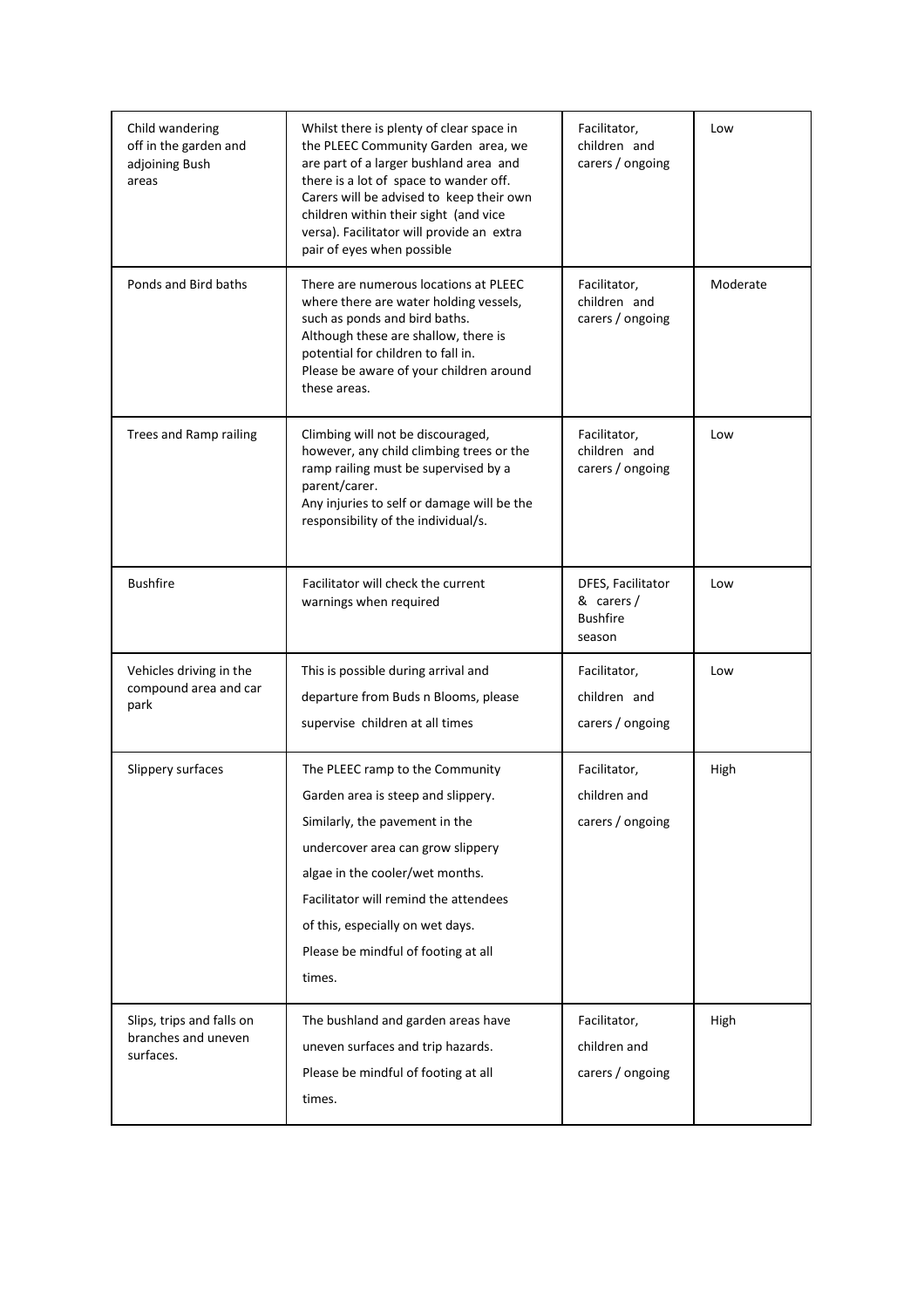| Child wandering<br>off in the garden and<br>adjoining Bush<br>areas | Whilst there is plenty of clear space in<br>the PLEEC Community Garden area, we<br>are part of a larger bushland area and<br>there is a lot of space to wander off.<br>Carers will be advised to keep their own<br>children within their sight (and vice<br>versa). Facilitator will provide an extra<br>pair of eyes when possible | Facilitator,<br>children and<br>carers / ongoing            | Low      |
|---------------------------------------------------------------------|-------------------------------------------------------------------------------------------------------------------------------------------------------------------------------------------------------------------------------------------------------------------------------------------------------------------------------------|-------------------------------------------------------------|----------|
| Ponds and Bird baths                                                | There are numerous locations at PLEEC<br>where there are water holding vessels,<br>such as ponds and bird baths.<br>Although these are shallow, there is<br>potential for children to fall in.<br>Please be aware of your children around<br>these areas.                                                                           | Facilitator,<br>children and<br>carers / ongoing            | Moderate |
| Trees and Ramp railing                                              | Climbing will not be discouraged,<br>however, any child climbing trees or the<br>ramp railing must be supervised by a<br>parent/carer.<br>Any injuries to self or damage will be the<br>responsibility of the individual/s.                                                                                                         | Facilitator,<br>children and<br>carers / ongoing            | Low      |
| <b>Bushfire</b>                                                     | Facilitator will check the current<br>warnings when required                                                                                                                                                                                                                                                                        | DFES, Facilitator<br>& carers/<br><b>Bushfire</b><br>season | Low      |
| Vehicles driving in the<br>compound area and car<br>park            | This is possible during arrival and<br>departure from Buds n Blooms, please<br>supervise children at all times                                                                                                                                                                                                                      | Facilitator,<br>children and<br>carers / ongoing            | Low      |
| Slippery surfaces                                                   | The PLEEC ramp to the Community<br>Garden area is steep and slippery.<br>Similarly, the pavement in the<br>undercover area can grow slippery<br>algae in the cooler/wet months.<br>Facilitator will remind the attendees<br>of this, especially on wet days.<br>Please be mindful of footing at all<br>times.                       | Facilitator,<br>children and<br>carers / ongoing            | High     |
| Slips, trips and falls on<br>branches and uneven<br>surfaces.       | The bushland and garden areas have<br>uneven surfaces and trip hazards.<br>Please be mindful of footing at all<br>times.                                                                                                                                                                                                            | Facilitator,<br>children and<br>carers / ongoing            | High     |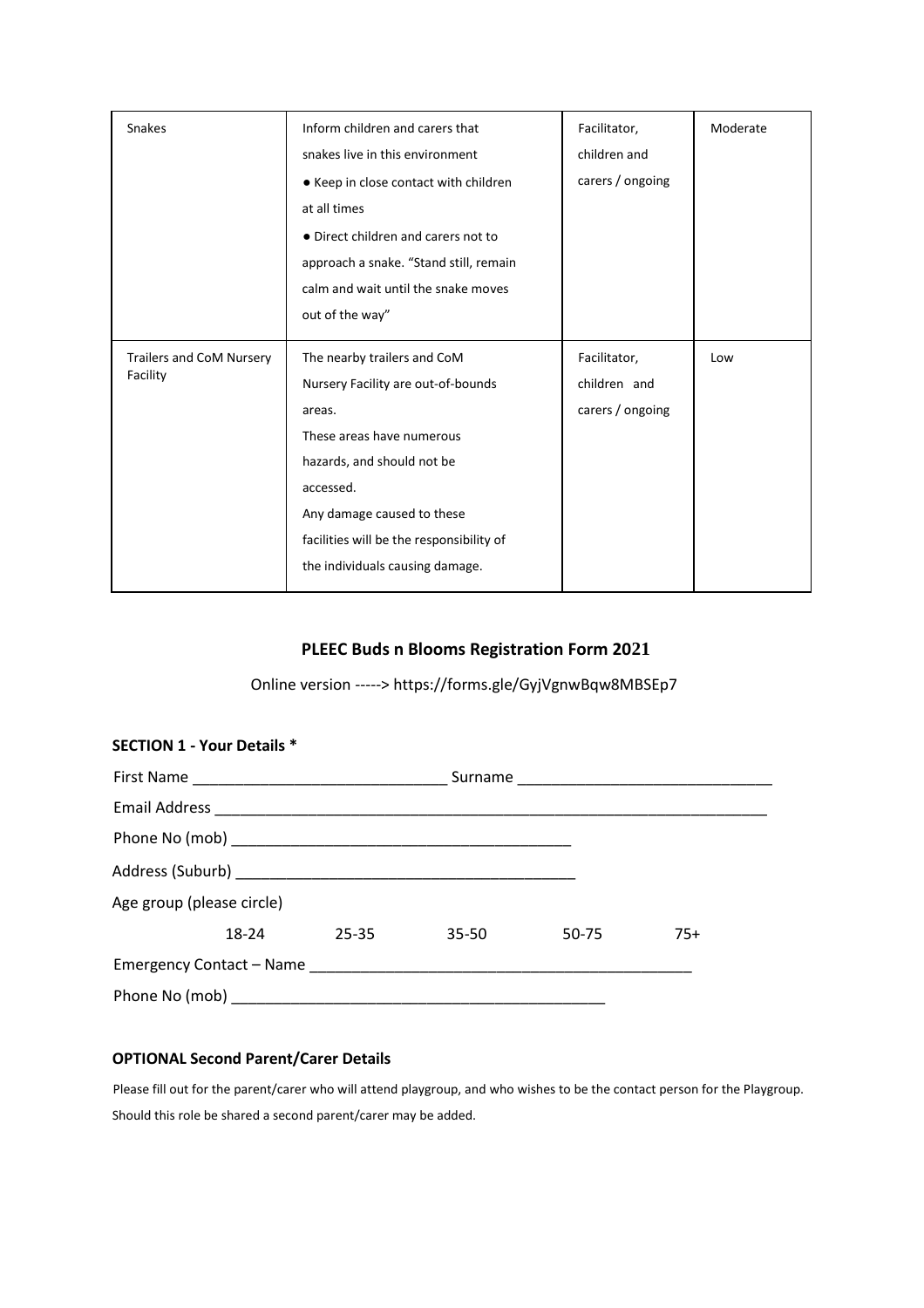| Snakes                               | Inform children and carers that<br>snakes live in this environment<br>• Keep in close contact with children<br>at all times<br>• Direct children and carers not to<br>approach a snake. "Stand still, remain<br>calm and wait until the snake moves<br>out of the way" | Facilitator,<br>children and<br>carers / ongoing | Moderate |
|--------------------------------------|------------------------------------------------------------------------------------------------------------------------------------------------------------------------------------------------------------------------------------------------------------------------|--------------------------------------------------|----------|
| Trailers and CoM Nursery<br>Facility | The nearby trailers and CoM<br>Nursery Facility are out-of-bounds<br>areas.<br>These areas have numerous<br>hazards, and should not be<br>accessed.<br>Any damage caused to these<br>facilities will be the responsibility of<br>the individuals causing damage.       | Facilitator,<br>children and<br>carers / ongoing | Low      |

# **PLEEC Buds n Blooms Registration Form 2021**

Online version -----> https://forms.gle/GyjVgnwBqw8MBSEp7

| <b>SECTION 1 - Your Details *</b> |  |             |       |       |       |
|-----------------------------------|--|-------------|-------|-------|-------|
|                                   |  |             |       |       |       |
|                                   |  |             |       |       |       |
|                                   |  |             |       |       |       |
|                                   |  |             |       |       |       |
| Age group (please circle)         |  |             |       |       |       |
|                                   |  | 18-24 25-35 | 35-50 | 50-75 | $75+$ |
|                                   |  |             |       |       |       |
|                                   |  |             |       |       |       |

# **OPTIONAL Second Parent/Carer Details**

Please fill out for the parent/carer who will attend playgroup, and who wishes to be the contact person for the Playgroup. Should this role be shared a second parent/carer may be added.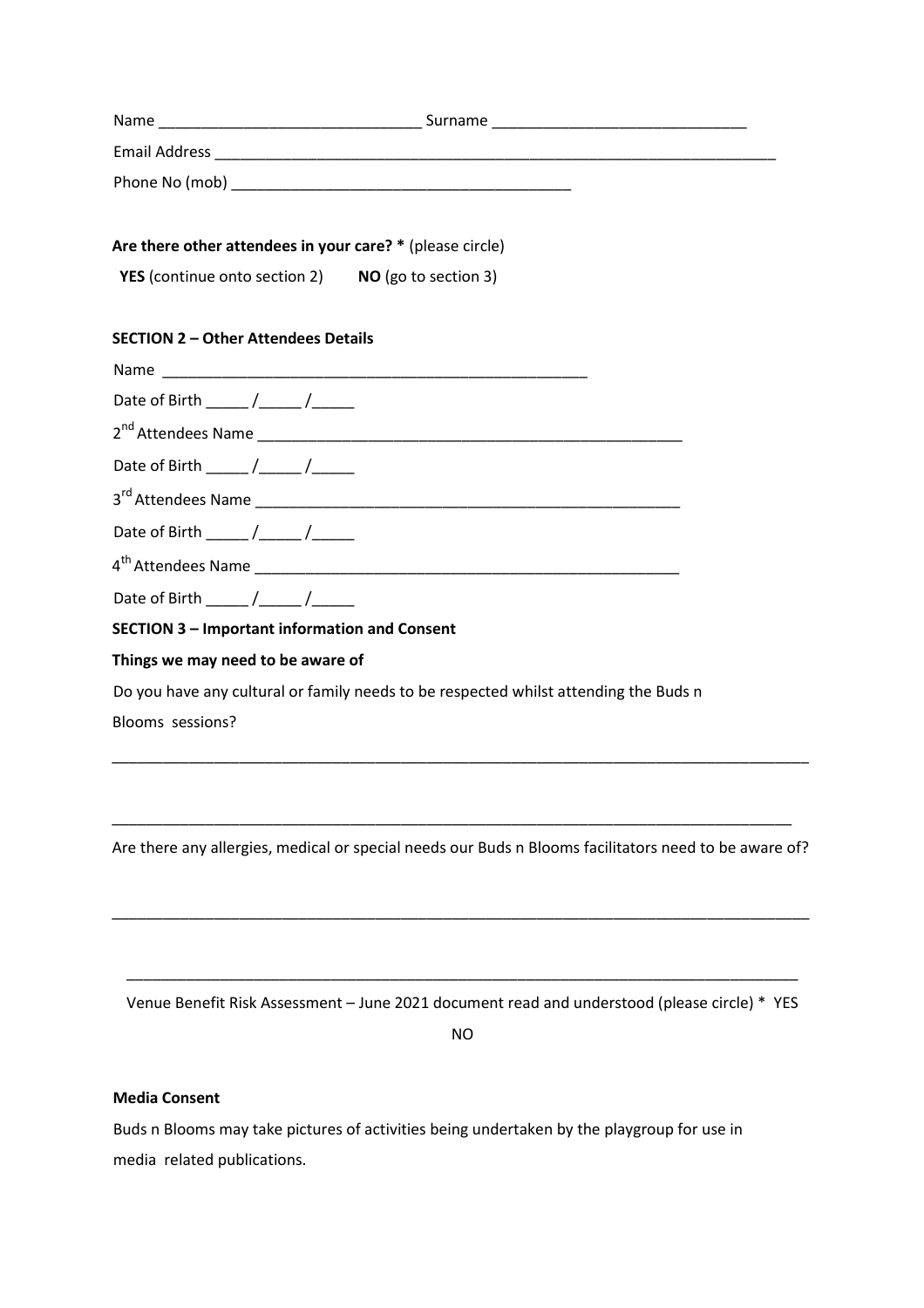| Name                 | Surname |
|----------------------|---------|
| <b>Email Address</b> |         |
| Phone No (mob)       |         |

### **Are there other attendees in your care? \*** (please circle)

| <b>YES</b> (continue onto section 2) | NO (go to section 3) |
|--------------------------------------|----------------------|
|--------------------------------------|----------------------|

# **SECTION 2 – Other Attendees Details**

| Date of Birth $\frac{1}{\sqrt{1-\frac{1}{2}}}\sqrt{1-\frac{1}{2}}$ |
|--------------------------------------------------------------------|
|                                                                    |
| Date of Birth $\frac{1}{\sqrt{1-\frac{1}{2}}}$                     |
|                                                                    |
| Date of Birth $\frac{\sqrt{2}}{2}$                                 |
|                                                                    |
| Date of Birth / /                                                  |
| <b>SECTION 3 - Important information and Consent</b>               |
| Things we may need to be aware of                                  |

Do you have any cultural or family needs to be respected whilst attending the Buds n Blooms sessions?

Are there any allergies, medical or special needs our Buds n Blooms facilitators need to be aware of?

\_\_\_\_\_\_\_\_\_\_\_\_\_\_\_\_\_\_\_\_\_\_\_\_\_\_\_\_\_\_\_\_\_\_\_\_\_\_\_\_\_\_\_\_\_\_\_\_\_\_\_\_\_\_\_\_\_\_\_\_\_\_\_\_\_\_\_\_\_\_\_\_\_\_\_\_\_\_\_\_\_\_

\_\_\_\_\_\_\_\_\_\_\_\_\_\_\_\_\_\_\_\_\_\_\_\_\_\_\_\_\_\_\_\_\_\_\_\_\_\_\_\_\_\_\_\_\_\_\_\_\_\_\_\_\_\_\_\_\_\_\_\_\_\_\_\_\_\_\_\_\_\_\_\_\_\_\_\_\_\_\_\_

\_\_\_\_\_\_\_\_\_\_\_\_\_\_\_\_\_\_\_\_\_\_\_\_\_\_\_\_\_\_\_\_\_\_\_\_\_\_\_\_\_\_\_\_\_\_\_\_\_\_\_\_\_\_\_\_\_\_\_\_\_\_\_\_\_\_\_\_\_\_\_\_\_\_\_\_\_\_\_\_\_\_

\_\_\_\_\_\_\_\_\_\_\_\_\_\_\_\_\_\_\_\_\_\_\_\_\_\_\_\_\_\_\_\_\_\_\_\_\_\_\_\_\_\_\_\_\_\_\_\_\_\_\_\_\_\_\_\_\_\_\_\_\_\_\_\_\_\_\_\_\_\_\_\_\_\_\_\_\_\_\_ Venue Benefit Risk Assessment – June 2021 document read and understood (please circle) \* YES

NO

## **Media Consent**

Buds n Blooms may take pictures of activities being undertaken by the playgroup for use in media related publications.